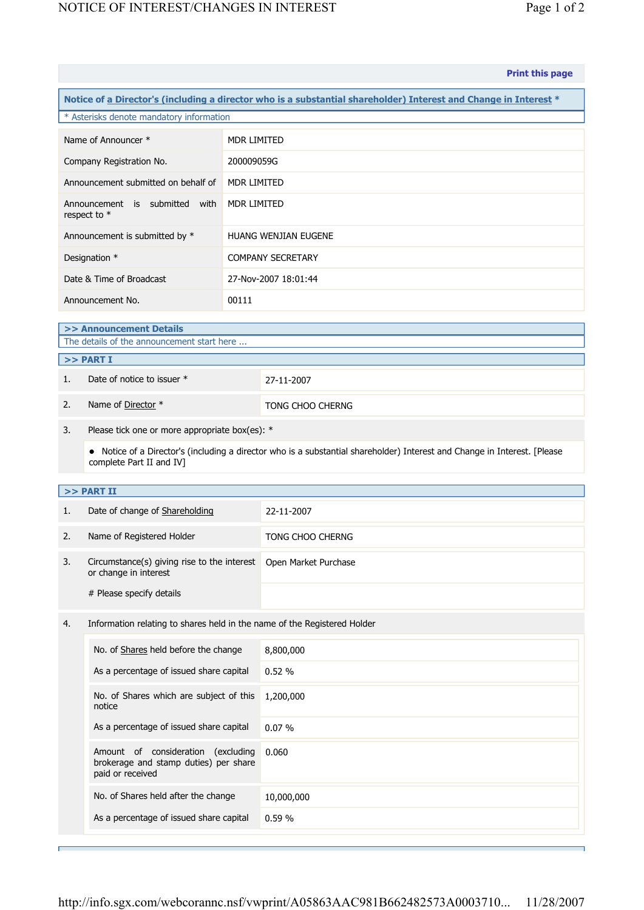|                                                                                                                                                       |                                                                                                    |                      | <b>Print this page</b>      |  |  |  |
|-------------------------------------------------------------------------------------------------------------------------------------------------------|----------------------------------------------------------------------------------------------------|----------------------|-----------------------------|--|--|--|
| Notice of a Director's (including a director who is a substantial shareholder) Interest and Change in Interest *                                      |                                                                                                    |                      |                             |  |  |  |
| * Asterisks denote mandatory information                                                                                                              |                                                                                                    |                      |                             |  |  |  |
| Name of Announcer *                                                                                                                                   |                                                                                                    | <b>MDR LIMITED</b>   |                             |  |  |  |
| Company Registration No.                                                                                                                              |                                                                                                    |                      | 200009059G                  |  |  |  |
| Announcement submitted on behalf of                                                                                                                   |                                                                                                    |                      | <b>MDR LIMITED</b>          |  |  |  |
| Announcement is submitted with<br>respect to *                                                                                                        |                                                                                                    | MDR LIMITED          |                             |  |  |  |
| Announcement is submitted by *                                                                                                                        |                                                                                                    |                      | <b>HUANG WENJIAN EUGENE</b> |  |  |  |
| Designation *                                                                                                                                         |                                                                                                    |                      | <b>COMPANY SECRETARY</b>    |  |  |  |
| Date & Time of Broadcast                                                                                                                              |                                                                                                    | 27-Nov-2007 18:01:44 |                             |  |  |  |
| Announcement No.                                                                                                                                      |                                                                                                    | 00111                |                             |  |  |  |
| >> Announcement Details                                                                                                                               |                                                                                                    |                      |                             |  |  |  |
| The details of the announcement start here                                                                                                            |                                                                                                    |                      |                             |  |  |  |
| >> PART I                                                                                                                                             |                                                                                                    |                      |                             |  |  |  |
| 1.                                                                                                                                                    | Date of notice to issuer *                                                                         |                      | 27-11-2007                  |  |  |  |
| 2.                                                                                                                                                    | Name of Director *                                                                                 |                      | TONG CHOO CHERNG            |  |  |  |
| 3.<br>Please tick one or more appropriate box(es): *                                                                                                  |                                                                                                    |                      |                             |  |  |  |
| • Notice of a Director's (including a director who is a substantial shareholder) Interest and Change in Interest. [Please<br>complete Part II and IV] |                                                                                                    |                      |                             |  |  |  |
|                                                                                                                                                       | >> PART II                                                                                         |                      |                             |  |  |  |
| 1.                                                                                                                                                    | Date of change of Shareholding                                                                     |                      | 22-11-2007                  |  |  |  |
| 2.                                                                                                                                                    | Name of Registered Holder                                                                          |                      | TONG CHOO CHERNG            |  |  |  |
| 3.                                                                                                                                                    | Circumstance(s) giving rise to the interest   Open Market Purchase<br>or change in interest        |                      |                             |  |  |  |
|                                                                                                                                                       | # Please specify details                                                                           |                      |                             |  |  |  |
| 4.                                                                                                                                                    | Information relating to shares held in the name of the Registered Holder                           |                      |                             |  |  |  |
|                                                                                                                                                       | No. of Shares held before the change                                                               |                      | 8,800,000                   |  |  |  |
|                                                                                                                                                       | As a percentage of issued share capital                                                            |                      | 0.52 %                      |  |  |  |
|                                                                                                                                                       | No. of Shares which are subject of this<br>notice                                                  |                      | 1,200,000                   |  |  |  |
|                                                                                                                                                       | As a percentage of issued share capital                                                            |                      | 0.07%                       |  |  |  |
|                                                                                                                                                       | Amount of consideration<br>(excluding<br>brokerage and stamp duties) per share<br>paid or received |                      | 0.060                       |  |  |  |
|                                                                                                                                                       | No. of Shares held after the change                                                                |                      | 10,000,000                  |  |  |  |
|                                                                                                                                                       | As a percentage of issued share capital                                                            |                      | 0.59 %                      |  |  |  |
|                                                                                                                                                       |                                                                                                    |                      |                             |  |  |  |

Е